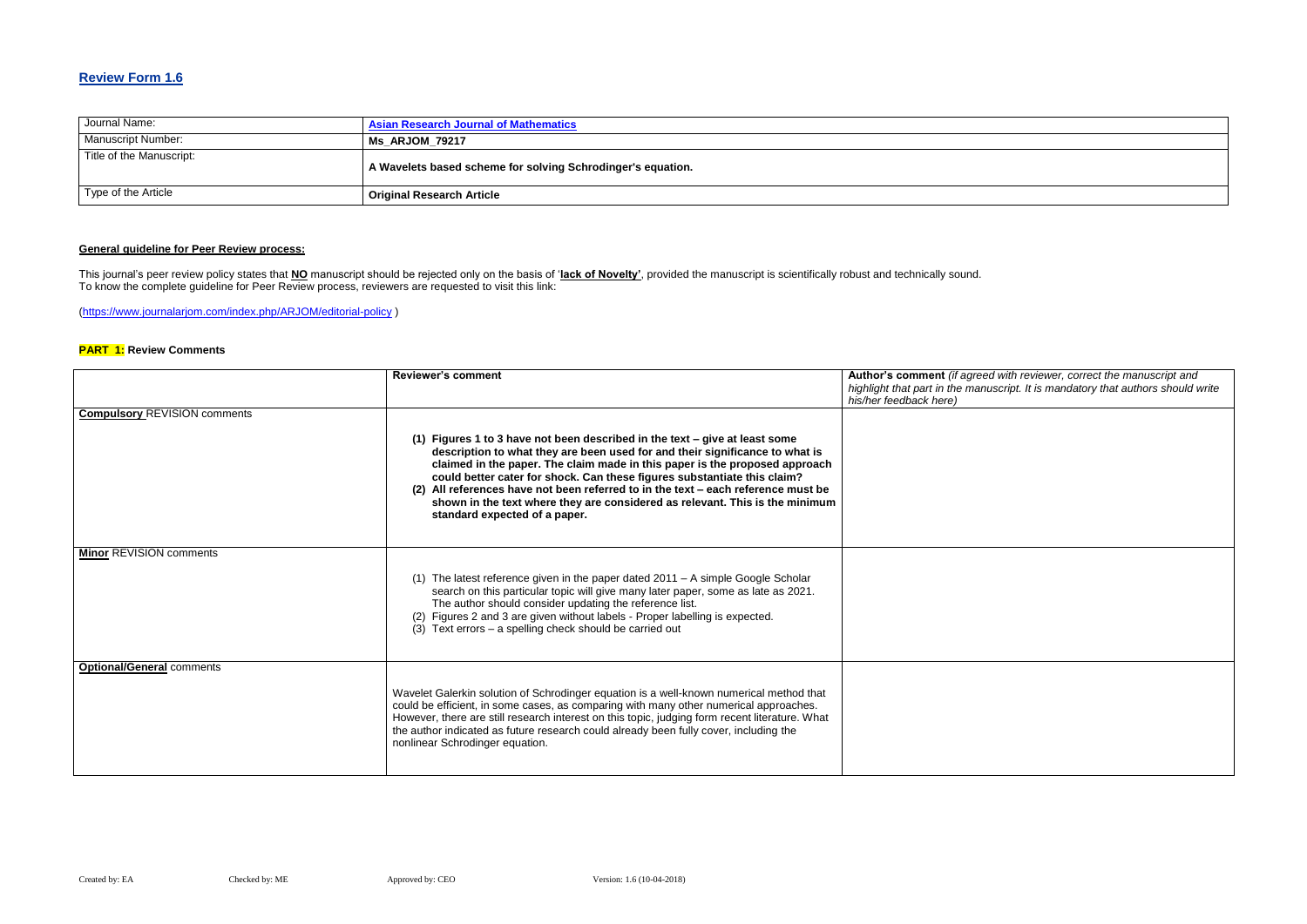### **Review Form 1.6**

| Journal Name:             | <b>Asian Research Journal of Mathematics</b>                |
|---------------------------|-------------------------------------------------------------|
| <b>Manuscript Number:</b> | Ms ARJOM 79217                                              |
| Title of the Manuscript:  | A Wavelets based scheme for solving Schrodinger's equation. |
| Type of the Article       | <b>Original Research Article</b>                            |

#### **General guideline for Peer Review process:**

#### **Red with reviewer, correct the manuscript and** *highlight that part in the manuscript. It is mandatory that authors should write*

This journal's peer review policy states that **NO** manuscript should be rejected only on the basis of '**lack of Novelty'**, provided the manuscript is scientifically robust and technically sound. To know the complete guideline for Peer Review process, reviewers are requested to visit this link:

[\(https://www.journalarjom.com/index.php/ARJOM/editorial-policy](https://www.journalarjom.com/index.php/ARJOM/editorial-policy) )

#### **PART 1: Review Comments**

|                                     | <b>Reviewer's comment</b>                                                                                                                                                                                                                                                                                                                                                                                                                                                                                                      | Author's comment (if agree<br>highlight that part in the mar<br>his/her feedback here) |
|-------------------------------------|--------------------------------------------------------------------------------------------------------------------------------------------------------------------------------------------------------------------------------------------------------------------------------------------------------------------------------------------------------------------------------------------------------------------------------------------------------------------------------------------------------------------------------|----------------------------------------------------------------------------------------|
| <b>Compulsory REVISION comments</b> | (1) Figures 1 to 3 have not been described in the text $-$ give at least some<br>description to what they are been used for and their significance to what is<br>claimed in the paper. The claim made in this paper is the proposed approach<br>could better cater for shock. Can these figures substantiate this claim?<br>(2) All references have not been referred to in the text - each reference must be<br>shown in the text where they are considered as relevant. This is the minimum<br>standard expected of a paper. |                                                                                        |
| <b>Minor REVISION comments</b>      | (1) The latest reference given in the paper dated 2011 – A simple Google Scholar<br>search on this particular topic will give many later paper, some as late as 2021.<br>The author should consider updating the reference list.<br>(2) Figures 2 and 3 are given without labels - Proper labelling is expected.<br>$(3)$ Text errors – a spelling check should be carried out                                                                                                                                                 |                                                                                        |
| <b>Optional/General comments</b>    | Wavelet Galerkin solution of Schrodinger equation is a well-known numerical method that<br>could be efficient, in some cases, as comparing with many other numerical approaches.<br>However, there are still research interest on this topic, judging form recent literature. What<br>the author indicated as future research could already been fully cover, including the<br>nonlinear Schrodinger equation.                                                                                                                 |                                                                                        |